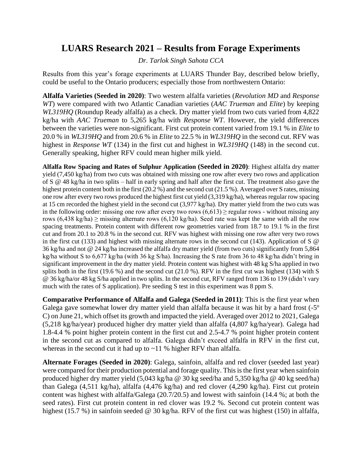## **LUARS Research 2021 – Results from Forage Experiments**

*Dr. Tarlok Singh Sahota CCA*

Results from this year's forage experiments at LUARS Thunder Bay, described below briefly, could be useful to the Ontario producers; especially those from northwestern Ontario:

**Alfalfa Varieties (Seeded in 2020)**: Two western alfalfa varieties (*Revolution MD* and *Response WT*) were compared with two Atlantic Canadian varieties (*AAC Trueman* and *Elite*) by keeping *WL319HQ* (Roundup Ready alfalfa) as a check. Dry matter yield from two cuts varied from 4,822 kg/ha with *AAC Trueman* to 5,265 kg/ha with *Response WT*. However, the yield differences between the varieties were non-significant. First cut protein content varied from 19.1 % in *Elite* to 20.0 % in *WL319HQ* and from 20.6 % in *Elite* to 22.5 % in *WL319HQ* in the second cut. RFV was highest in *Response WT* (134) in the first cut and highest in *WL319HQ* (148) in the second cut. Generally speaking, higher RFV could mean higher milk yield.

**Alfalfa Row Spacing and Rates of Sulphur Application (Seeded in 2020)**: Highest alfalfa dry matter yield (7,450 kg/ha) from two cuts was obtained with missing one row after every two rows and application of S @ 48 kg/ha in two splits – half in early spring and half after the first cut. The treatment also gave the highest protein content both in the first (20.2 %) and the second cut (21.5 %). Averaged over S rates, missing one row after every two rows produced the highest first cut yield (3,319 kg/ha), whereas regular row spacing at 15 cm recorded the highest yield in the second cut (3,977 kg/ha). Dry matter yield from the two cuts was in the following order: missing one row after every two rows  $(6.613)$  > regular rows - without missing any rows (6,438 kg/ha)  $\geq$  missing alternate rows (6,120 kg/ha). Seed rate was kept the same with all the row spacing treatments. Protein content with different row geometries varied from 18.7 to 19.1 % in the first cut and from 20.1 to 20.8 % in the second cut. RFV was highest with missing one row after very two rows in the first cut (133) and highest with missing alternate rows in the second cut (143). Application of S @ 36 kg/ha and not @ 24 kg/ha increased the alfalfa dry matter yield (from two cuts) significantly from 5,864 kg/ha without S to 6,677 kg/ha (with 36 kg S/ha). Increasing the S rate from 36 to 48 kg/ha didn't bring in significant improvement in the dry matter yield. Protein content was highest with 48 kg S/ha applied in two splits both in the first (19.6 %) and the second cut (21.0 %). RFV in the first cut was highest (134) with S @ 36 kg/ha/or 48 kg S/ha applied in two splits. In the second cut, RFV ranged from 136 to 139 (didn't vary much with the rates of S application). Pre seeding S test in this experiment was 8 ppm S.

**Comparative Performance of Alfalfa and Galega (Seeded in 2011)**: This is the first year when Galega gave somewhat lower dry matter yield than alfalfa because it was hit by a hard frost  $(-5^{\circ})$ C) on June 21, which offset its growth and impacted the yield. Averaged over 2012 to 2021, Galega (5,218 kg/ha/year) produced higher dry matter yield than alfalfa (4,807 kg/ha/year). Galega had 1.8-4.4 % point higher protein content in the first cut and 2.5-4.7 % point higher protein content in the second cut as compared to alfalfa. Galega didn't exceed alfalfa in RFV in the first cut, whereas in the second cut it had up to  $\sim$ 11 % higher RFV than alfalfa.

**Alternate Forages (Seeded in 2020)**: Galega, sainfoin, alfalfa and red clover (seeded last year) were compared for their production potential and forage quality. This is the first year when sainfoin produced higher dry matter yield (5,043 kg/ha @ 30 kg seed/ha and 5,350 kg/ha @ 40 kg seed/ha) than Galega (4,511 kg/ha), alfalfa (4,476 kg/ha) and red clover (4,290 kg/ha). First cut protein content was highest with alfalfa/Galega (20.7/20.5) and lowest with sainfoin (14.4 %; at both the seed rates). First cut protein content in red clover was 19.2 %. Second cut protein content was highest (15.7 %) in sainfoin seeded @ 30 kg/ha. RFV of the first cut was highest (150) in alfalfa,